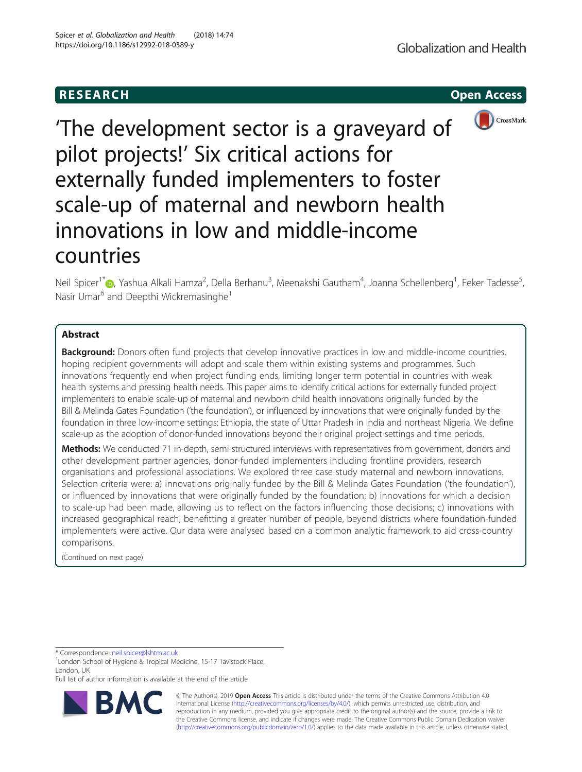

'The development sector is a graveyard of pilot projects!' Six critical actions for externally funded implementers to foster scale-up of maternal and newborn health innovations in low and middle-income countries

Neil Spicer<sup>1\*</sup>�[,](http://orcid.org/0000-0003-3451-8003) Yashua Alkali Hamza<sup>2</sup>, Della Berhanu<sup>3</sup>, Meenakshi Gautham<sup>4</sup>, Joanna Schellenberg<sup>1</sup>, Feker Tadesse<sup>5</sup> , Nasir Umar<sup>6</sup> and Deepthi Wickremasinghe<sup>1</sup>

# Abstract

**Background:** Donors often fund projects that develop innovative practices in low and middle-income countries, hoping recipient governments will adopt and scale them within existing systems and programmes. Such innovations frequently end when project funding ends, limiting longer term potential in countries with weak health systems and pressing health needs. This paper aims to identify critical actions for externally funded project implementers to enable scale-up of maternal and newborn child health innovations originally funded by the Bill & Melinda Gates Foundation ('the foundation'), or influenced by innovations that were originally funded by the foundation in three low-income settings: Ethiopia, the state of Uttar Pradesh in India and northeast Nigeria. We define scale-up as the adoption of donor-funded innovations beyond their original project settings and time periods.

Methods: We conducted 71 in-depth, semi-structured interviews with representatives from government, donors and other development partner agencies, donor-funded implementers including frontline providers, research organisations and professional associations. We explored three case study maternal and newborn innovations. Selection criteria were: a) innovations originally funded by the Bill & Melinda Gates Foundation ('the foundation'), or influenced by innovations that were originally funded by the foundation; b) innovations for which a decision to scale-up had been made, allowing us to reflect on the factors influencing those decisions; c) innovations with increased geographical reach, benefitting a greater number of people, beyond districts where foundation-funded implementers were active. Our data were analysed based on a common analytic framework to aid cross-country comparisons.

(Continued on next page)

\* Correspondence: [neil.spicer@lshtm.ac.uk](mailto:neil.spicer@lshtm.ac.uk) <sup>1</sup>

<sup>1</sup> London School of Hygiene & Tropical Medicine, 15-17 Tavistock Place, London, UK

Full list of author information is available at the end of the article



© The Author(s). 2019 **Open Access** This article is distributed under the terms of the Creative Commons Attribution 4.0 International License [\(http://creativecommons.org/licenses/by/4.0/](http://creativecommons.org/licenses/by/4.0/)), which permits unrestricted use, distribution, and reproduction in any medium, provided you give appropriate credit to the original author(s) and the source, provide a link to the Creative Commons license, and indicate if changes were made. The Creative Commons Public Domain Dedication waiver [\(http://creativecommons.org/publicdomain/zero/1.0/](http://creativecommons.org/publicdomain/zero/1.0/)) applies to the data made available in this article, unless otherwise stated.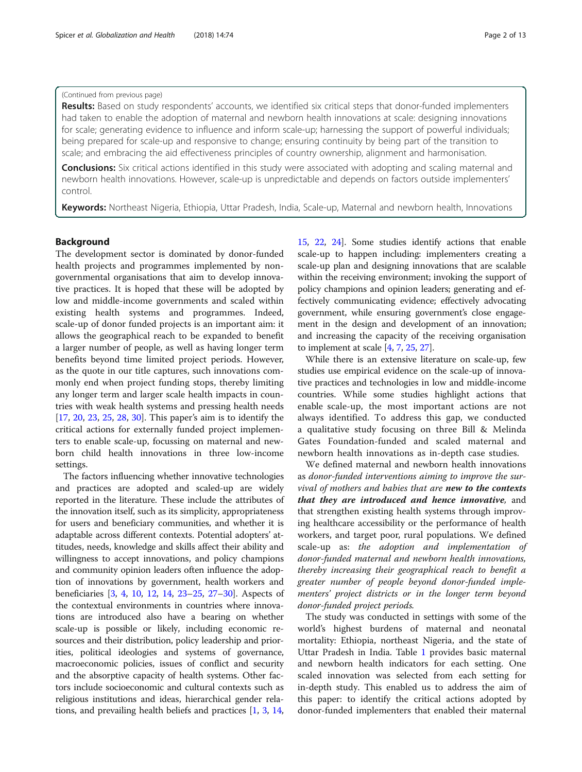# (Continued from previous page)

Results: Based on study respondents' accounts, we identified six critical steps that donor-funded implementers had taken to enable the adoption of maternal and newborn health innovations at scale: designing innovations for scale; generating evidence to influence and inform scale-up; harnessing the support of powerful individuals; being prepared for scale-up and responsive to change; ensuring continuity by being part of the transition to scale; and embracing the aid effectiveness principles of country ownership, alignment and harmonisation.

**Conclusions:** Six critical actions identified in this study were associated with adopting and scaling maternal and newborn health innovations. However, scale-up is unpredictable and depends on factors outside implementers' control.

Keywords: Northeast Nigeria, Ethiopia, Uttar Pradesh, India, Scale-up, Maternal and newborn health, Innovations

# Background

The development sector is dominated by donor-funded health projects and programmes implemented by nongovernmental organisations that aim to develop innovative practices. It is hoped that these will be adopted by low and middle-income governments and scaled within existing health systems and programmes. Indeed, scale-up of donor funded projects is an important aim: it allows the geographical reach to be expanded to benefit a larger number of people, as well as having longer term benefits beyond time limited project periods. However, as the quote in our title captures, such innovations commonly end when project funding stops, thereby limiting any longer term and larger scale health impacts in countries with weak health systems and pressing health needs [[17,](#page-12-0) [20,](#page-12-0) [23,](#page-12-0) [25,](#page-12-0) [28,](#page-12-0) [30\]](#page-12-0). This paper's aim is to identify the critical actions for externally funded project implementers to enable scale-up, focussing on maternal and newborn child health innovations in three low-income settings.

The factors influencing whether innovative technologies and practices are adopted and scaled-up are widely reported in the literature. These include the attributes of the innovation itself, such as its simplicity, appropriateness for users and beneficiary communities, and whether it is adaptable across different contexts. Potential adopters' attitudes, needs, knowledge and skills affect their ability and willingness to accept innovations, and policy champions and community opinion leaders often influence the adoption of innovations by government, health workers and beneficiaries [\[3,](#page-11-0) [4,](#page-11-0) [10](#page-11-0), [12](#page-11-0), [14,](#page-11-0) [23](#page-12-0)–[25,](#page-12-0) [27](#page-12-0)–[30](#page-12-0)]. Aspects of the contextual environments in countries where innovations are introduced also have a bearing on whether scale-up is possible or likely, including economic resources and their distribution, policy leadership and priorities, political ideologies and systems of governance, macroeconomic policies, issues of conflict and security and the absorptive capacity of health systems. Other factors include socioeconomic and cultural contexts such as religious institutions and ideas, hierarchical gender relations, and prevailing health beliefs and practices [\[1](#page-11-0), [3](#page-11-0), [14](#page-11-0),

[15](#page-12-0), [22,](#page-12-0) [24](#page-12-0)]. Some studies identify actions that enable scale-up to happen including: implementers creating a scale-up plan and designing innovations that are scalable within the receiving environment; invoking the support of policy champions and opinion leaders; generating and effectively communicating evidence; effectively advocating government, while ensuring government's close engagement in the design and development of an innovation; and increasing the capacity of the receiving organisation to implement at scale  $[4, 7, 25, 27]$  $[4, 7, 25, 27]$  $[4, 7, 25, 27]$  $[4, 7, 25, 27]$  $[4, 7, 25, 27]$  $[4, 7, 25, 27]$  $[4, 7, 25, 27]$  $[4, 7, 25, 27]$ .

While there is an extensive literature on scale-up, few studies use empirical evidence on the scale-up of innovative practices and technologies in low and middle-income countries. While some studies highlight actions that enable scale-up, the most important actions are not always identified. To address this gap, we conducted a qualitative study focusing on three Bill & Melinda Gates Foundation-funded and scaled maternal and newborn health innovations as in-depth case studies.

We defined maternal and newborn health innovations as donor-funded interventions aiming to improve the survival of mothers and babies that are new to the contexts that they are introduced and hence innovative, and that strengthen existing health systems through improving healthcare accessibility or the performance of health workers, and target poor, rural populations. We defined scale-up as: the adoption and implementation of donor-funded maternal and newborn health innovations, thereby increasing their geographical reach to benefit a greater number of people beyond donor-funded implementers' project districts or in the longer term beyond donor-funded project periods.

The study was conducted in settings with some of the world's highest burdens of maternal and neonatal mortality: Ethiopia, northeast Nigeria, and the state of Uttar Pradesh in India. Table [1](#page-2-0) provides basic maternal and newborn health indicators for each setting. One scaled innovation was selected from each setting for in-depth study. This enabled us to address the aim of this paper: to identify the critical actions adopted by donor-funded implementers that enabled their maternal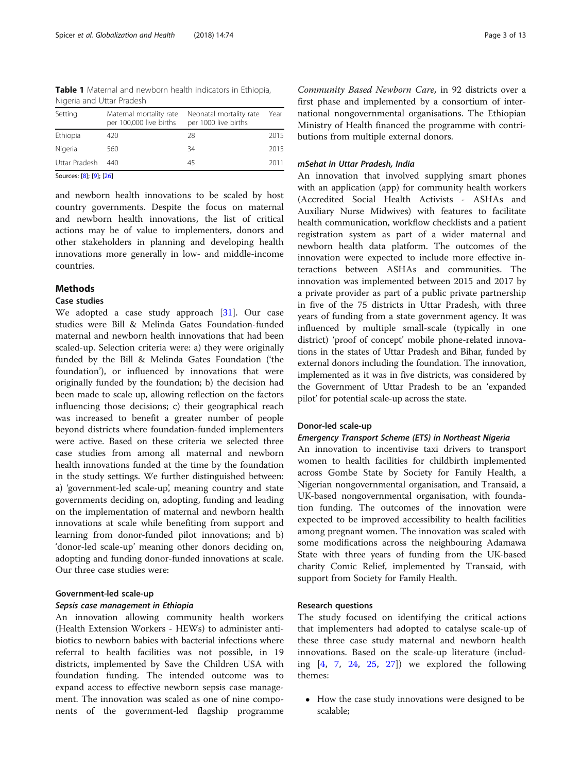| Setting       | Maternal mortality rate<br>per 100,000 live births | Neonatal mortality rate<br>per 1000 live births | Year |
|---------------|----------------------------------------------------|-------------------------------------------------|------|
| Ethiopia      | 420                                                | 28                                              | 2015 |
| Nigeria       | 560.                                               | 34                                              | 2015 |
| Uttar Pradesh | 440                                                | 45                                              | 2011 |

<span id="page-2-0"></span>Table 1 Maternal and newborn health indicators in Ethiopia, Nigeria and Uttar Pradesh

Sources: [[8](#page-11-0)]; [[9](#page-11-0)]; [[26](#page-12-0)]

and newborn health innovations to be scaled by host country governments. Despite the focus on maternal and newborn health innovations, the list of critical actions may be of value to implementers, donors and other stakeholders in planning and developing health innovations more generally in low- and middle-income countries.

# **Methods**

### Case studies

We adopted a case study approach [\[31](#page-12-0)]. Our case studies were Bill & Melinda Gates Foundation-funded maternal and newborn health innovations that had been scaled-up. Selection criteria were: a) they were originally funded by the Bill & Melinda Gates Foundation ('the foundation'), or influenced by innovations that were originally funded by the foundation; b) the decision had been made to scale up, allowing reflection on the factors influencing those decisions; c) their geographical reach was increased to benefit a greater number of people beyond districts where foundation-funded implementers were active. Based on these criteria we selected three case studies from among all maternal and newborn health innovations funded at the time by the foundation in the study settings. We further distinguished between: a) 'government-led scale-up', meaning country and state governments deciding on, adopting, funding and leading on the implementation of maternal and newborn health innovations at scale while benefiting from support and learning from donor-funded pilot innovations; and b) 'donor-led scale-up' meaning other donors deciding on, adopting and funding donor-funded innovations at scale. Our three case studies were:

### Government-led scale-up

# Sepsis case management in Ethiopia

An innovation allowing community health workers (Health Extension Workers - HEWs) to administer antibiotics to newborn babies with bacterial infections where referral to health facilities was not possible, in 19 districts, implemented by Save the Children USA with foundation funding. The intended outcome was to expand access to effective newborn sepsis case management. The innovation was scaled as one of nine components of the government-led flagship programme

Community Based Newborn Care, in 92 districts over a first phase and implemented by a consortium of international nongovernmental organisations. The Ethiopian Ministry of Health financed the programme with contributions from multiple external donors.

# mSehat in Uttar Pradesh, India

An innovation that involved supplying smart phones with an application (app) for community health workers (Accredited Social Health Activists - ASHAs and Auxiliary Nurse Midwives) with features to facilitate health communication, workflow checklists and a patient registration system as part of a wider maternal and newborn health data platform. The outcomes of the innovation were expected to include more effective interactions between ASHAs and communities. The innovation was implemented between 2015 and 2017 by a private provider as part of a public private partnership in five of the 75 districts in Uttar Pradesh, with three years of funding from a state government agency. It was influenced by multiple small-scale (typically in one district) 'proof of concept' mobile phone-related innovations in the states of Uttar Pradesh and Bihar, funded by external donors including the foundation. The innovation, implemented as it was in five districts, was considered by the Government of Uttar Pradesh to be an 'expanded pilot' for potential scale-up across the state.

### Donor-led scale-up

### Emergency Transport Scheme (ETS) in Northeast Nigeria

An innovation to incentivise taxi drivers to transport women to health facilities for childbirth implemented across Gombe State by Society for Family Health, a Nigerian nongovernmental organisation, and Transaid, a UK-based nongovernmental organisation, with foundation funding. The outcomes of the innovation were expected to be improved accessibility to health facilities among pregnant women. The innovation was scaled with some modifications across the neighbouring Adamawa State with three years of funding from the UK-based charity Comic Relief, implemented by Transaid, with support from Society for Family Health.

### Research questions

The study focused on identifying the critical actions that implementers had adopted to catalyse scale-up of these three case study maternal and newborn health innovations. Based on the scale-up literature (including [[4,](#page-11-0) [7](#page-11-0), [24](#page-12-0), [25,](#page-12-0) [27\]](#page-12-0)) we explored the following themes:

• How the case study innovations were designed to be scalable;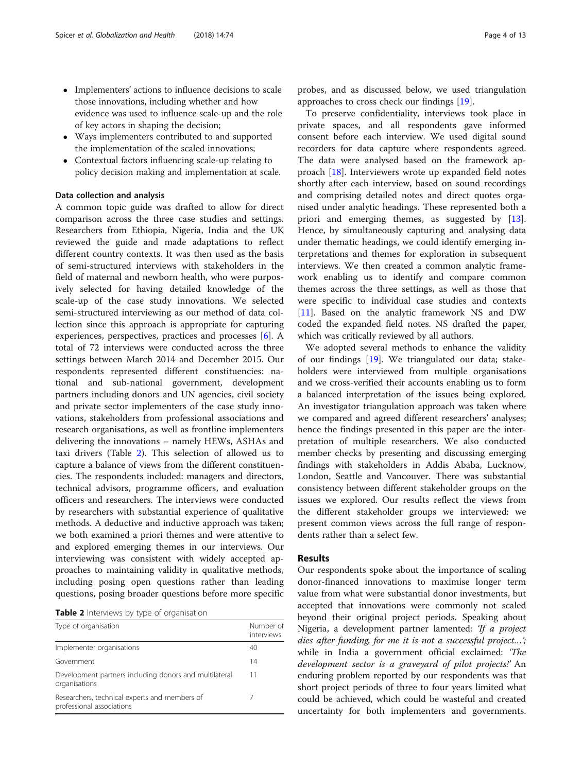- Implementers' actions to influence decisions to scale those innovations, including whether and how evidence was used to influence scale-up and the role of key actors in shaping the decision;
- Ways implementers contributed to and supported the implementation of the scaled innovations;
- Contextual factors influencing scale-up relating to policy decision making and implementation at scale.

# Data collection and analysis

A common topic guide was drafted to allow for direct comparison across the three case studies and settings. Researchers from Ethiopia, Nigeria, India and the UK reviewed the guide and made adaptations to reflect different country contexts. It was then used as the basis of semi-structured interviews with stakeholders in the field of maternal and newborn health, who were purposively selected for having detailed knowledge of the scale-up of the case study innovations. We selected semi-structured interviewing as our method of data collection since this approach is appropriate for capturing experiences, perspectives, practices and processes [[6\]](#page-11-0). A total of 72 interviews were conducted across the three settings between March 2014 and December 2015. Our respondents represented different constituencies: national and sub-national government, development partners including donors and UN agencies, civil society and private sector implementers of the case study innovations, stakeholders from professional associations and research organisations, as well as frontline implementers delivering the innovations – namely HEWs, ASHAs and taxi drivers (Table 2). This selection of allowed us to capture a balance of views from the different constituencies. The respondents included: managers and directors, technical advisors, programme officers, and evaluation officers and researchers. The interviews were conducted by researchers with substantial experience of qualitative methods. A deductive and inductive approach was taken; we both examined a priori themes and were attentive to and explored emerging themes in our interviews. Our interviewing was consistent with widely accepted approaches to maintaining validity in qualitative methods, including posing open questions rather than leading questions, posing broader questions before more specific

Table 2 Interviews by type of organisation

| Type of organisation                                                       | Number of<br><i>interviews</i> |
|----------------------------------------------------------------------------|--------------------------------|
| Implementer organisations                                                  | 40                             |
| Government                                                                 | 14                             |
| Development partners including donors and multilateral<br>organisations    | 11                             |
| Researchers, technical experts and members of<br>professional associations |                                |

To preserve confidentiality, interviews took place in private spaces, and all respondents gave informed consent before each interview. We used digital sound recorders for data capture where respondents agreed. The data were analysed based on the framework approach [[18](#page-12-0)]. Interviewers wrote up expanded field notes shortly after each interview, based on sound recordings and comprising detailed notes and direct quotes organised under analytic headings. These represented both a priori and emerging themes, as suggested by [\[13](#page-11-0)]. Hence, by simultaneously capturing and analysing data under thematic headings, we could identify emerging interpretations and themes for exploration in subsequent interviews. We then created a common analytic framework enabling us to identify and compare common themes across the three settings, as well as those that were specific to individual case studies and contexts [[11\]](#page-11-0). Based on the analytic framework NS and DW coded the expanded field notes. NS drafted the paper, which was critically reviewed by all authors.

We adopted several methods to enhance the validity of our findings [[19](#page-12-0)]. We triangulated our data; stakeholders were interviewed from multiple organisations and we cross-verified their accounts enabling us to form a balanced interpretation of the issues being explored. An investigator triangulation approach was taken where we compared and agreed different researchers' analyses; hence the findings presented in this paper are the interpretation of multiple researchers. We also conducted member checks by presenting and discussing emerging findings with stakeholders in Addis Ababa, Lucknow, London, Seattle and Vancouver. There was substantial consistency between different stakeholder groups on the issues we explored. Our results reflect the views from the different stakeholder groups we interviewed: we present common views across the full range of respondents rather than a select few.

# Results

Our respondents spoke about the importance of scaling donor-financed innovations to maximise longer term value from what were substantial donor investments, but accepted that innovations were commonly not scaled beyond their original project periods. Speaking about Nigeria, a development partner lamented: 'If a project dies after funding, for me it is not a successful project…'; while in India a government official exclaimed: 'The development sector is a graveyard of pilot projects!' An enduring problem reported by our respondents was that short project periods of three to four years limited what could be achieved, which could be wasteful and created uncertainty for both implementers and governments.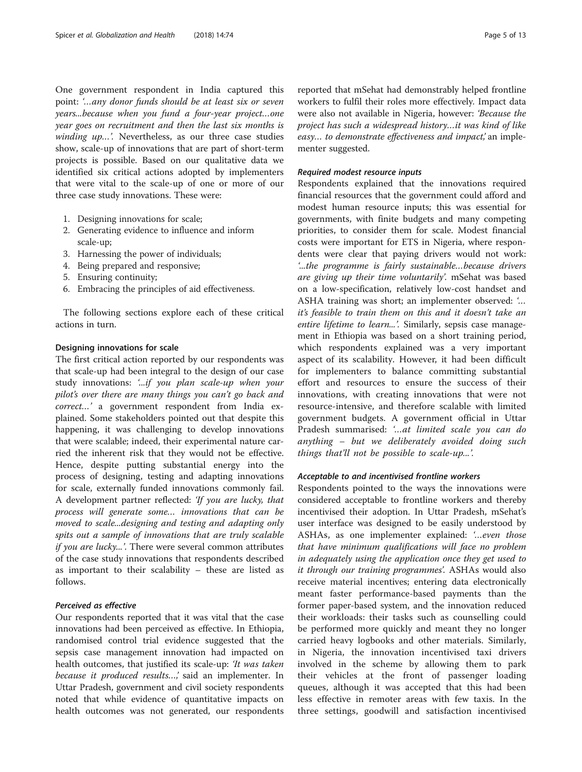One government respondent in India captured this point: '…any donor funds should be at least six or seven years...because when you fund a four-year project…one year goes on recruitment and then the last six months is winding up...'. Nevertheless, as our three case studies show, scale-up of innovations that are part of short-term projects is possible. Based on our qualitative data we identified six critical actions adopted by implementers that were vital to the scale-up of one or more of our three case study innovations. These were:

- 1. Designing innovations for scale;
- 2. Generating evidence to influence and inform scale-up;
- 3. Harnessing the power of individuals;
- 4. Being prepared and responsive;
- 5. Ensuring continuity;
- 6. Embracing the principles of aid effectiveness.

The following sections explore each of these critical actions in turn.

# Designing innovations for scale

The first critical action reported by our respondents was that scale-up had been integral to the design of our case study innovations: '...if you plan scale-up when your pilot's over there are many things you can't go back and correct…' a government respondent from India explained. Some stakeholders pointed out that despite this happening, it was challenging to develop innovations that were scalable; indeed, their experimental nature carried the inherent risk that they would not be effective. Hence, despite putting substantial energy into the process of designing, testing and adapting innovations for scale, externally funded innovations commonly fail. A development partner reflected: 'If you are lucky, that process will generate some… innovations that can be moved to scale...designing and testing and adapting only spits out a sample of innovations that are truly scalable if you are lucky...'. There were several common attributes of the case study innovations that respondents described as important to their scalability – these are listed as follows.

# Perceived as effective

Our respondents reported that it was vital that the case innovations had been perceived as effective. In Ethiopia, randomised control trial evidence suggested that the sepsis case management innovation had impacted on health outcomes, that justified its scale-up: 'It was taken because it produced results...,' said an implementer. In Uttar Pradesh, government and civil society respondents noted that while evidence of quantitative impacts on health outcomes was not generated, our respondents reported that mSehat had demonstrably helped frontline workers to fulfil their roles more effectively. Impact data were also not available in Nigeria, however: 'Because the project has such a widespread history…it was kind of like easy... to demonstrate effectiveness and impact, an implementer suggested.

# Required modest resource inputs

Respondents explained that the innovations required financial resources that the government could afford and modest human resource inputs; this was essential for governments, with finite budgets and many competing priorities, to consider them for scale. Modest financial costs were important for ETS in Nigeria, where respondents were clear that paying drivers would not work: '...the programme is fairly sustainable…because drivers are giving up their time voluntarily'. mSehat was based on a low-specification, relatively low-cost handset and ASHA training was short; an implementer observed: '… it's feasible to train them on this and it doesn't take an entire lifetime to learn...'. Similarly, sepsis case management in Ethiopia was based on a short training period, which respondents explained was a very important aspect of its scalability. However, it had been difficult for implementers to balance committing substantial effort and resources to ensure the success of their innovations, with creating innovations that were not resource-intensive, and therefore scalable with limited government budgets. A government official in Uttar Pradesh summarised: '…at limited scale you can do anything – but we deliberately avoided doing such things that'll not be possible to scale-up...'.

### Acceptable to and incentivised frontline workers

Respondents pointed to the ways the innovations were considered acceptable to frontline workers and thereby incentivised their adoption. In Uttar Pradesh, mSehat's user interface was designed to be easily understood by ASHAs, as one implementer explained: '…even those that have minimum qualifications will face no problem in adequately using the application once they get used to it through our training programmes'. ASHAs would also receive material incentives; entering data electronically meant faster performance-based payments than the former paper-based system, and the innovation reduced their workloads: their tasks such as counselling could be performed more quickly and meant they no longer carried heavy logbooks and other materials. Similarly, in Nigeria, the innovation incentivised taxi drivers involved in the scheme by allowing them to park their vehicles at the front of passenger loading queues, although it was accepted that this had been less effective in remoter areas with few taxis. In the three settings, goodwill and satisfaction incentivised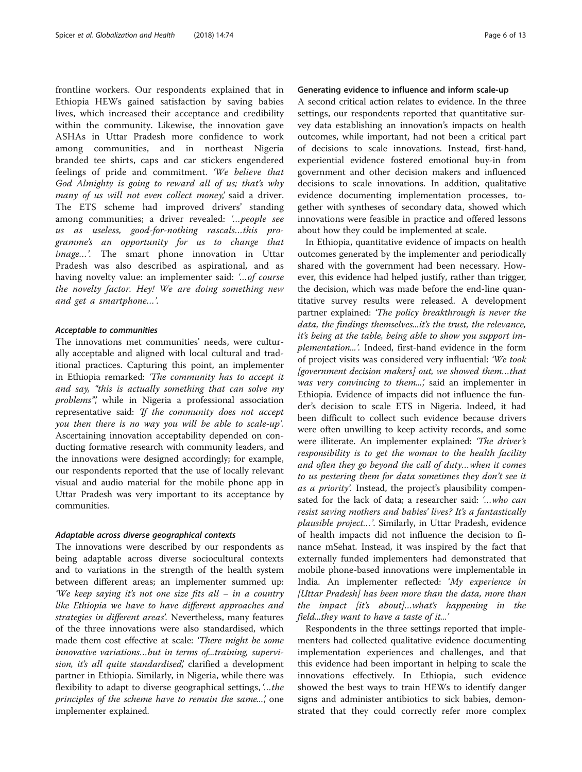frontline workers. Our respondents explained that in Ethiopia HEWs gained satisfaction by saving babies lives, which increased their acceptance and credibility within the community. Likewise, the innovation gave ASHAs in Uttar Pradesh more confidence to work among communities, and in northeast Nigeria branded tee shirts, caps and car stickers engendered feelings of pride and commitment. 'We believe that God Almighty is going to reward all of us; that's why many of us will not even collect money,' said a driver. The ETS scheme had improved drivers' standing among communities; a driver revealed: '…people see us as useless, good-for-nothing rascals…this programme's an opportunity for us to change that image...'. The smart phone innovation in Uttar Pradesh was also described as aspirational, and as having novelty value: an implementer said: '…of course the novelty factor. Hey! We are doing something new and get a smartphone…'.

### Acceptable to communities

The innovations met communities' needs, were culturally acceptable and aligned with local cultural and traditional practices. Capturing this point, an implementer in Ethiopia remarked: 'The community has to accept it and say, "this is actually something that can solve my problems"', while in Nigeria a professional association representative said: 'If the community does not accept you then there is no way you will be able to scale-up'. Ascertaining innovation acceptability depended on conducting formative research with community leaders, and the innovations were designed accordingly; for example, our respondents reported that the use of locally relevant visual and audio material for the mobile phone app in Uttar Pradesh was very important to its acceptance by communities.

### Adaptable across diverse geographical contexts

The innovations were described by our respondents as being adaptable across diverse sociocultural contexts and to variations in the strength of the health system between different areas; an implementer summed up: 'We keep saying it's not one size fits all – in a country like Ethiopia we have to have different approaches and strategies in different areas'. Nevertheless, many features of the three innovations were also standardised, which made them cost effective at scale: 'There might be some innovative variations…but in terms of...training, supervision, it's all quite standardised', clarified a development partner in Ethiopia. Similarly, in Nigeria, while there was flexibility to adapt to diverse geographical settings, '…the principles of the scheme have to remain the same...', one implementer explained.

# Generating evidence to influence and inform scale-up

A second critical action relates to evidence. In the three settings, our respondents reported that quantitative survey data establishing an innovation's impacts on health outcomes, while important, had not been a critical part of decisions to scale innovations. Instead, first-hand, experiential evidence fostered emotional buy-in from government and other decision makers and influenced decisions to scale innovations. In addition, qualitative evidence documenting implementation processes, together with syntheses of secondary data, showed which innovations were feasible in practice and offered lessons about how they could be implemented at scale.

In Ethiopia, quantitative evidence of impacts on health outcomes generated by the implementer and periodically shared with the government had been necessary. However, this evidence had helped justify, rather than trigger, the decision, which was made before the end-line quantitative survey results were released. A development partner explained: 'The policy breakthrough is never the data, the findings themselves...it's the trust, the relevance, it's being at the table, being able to show you support implementation...'. Indeed, first-hand evidence in the form of project visits was considered very influential: 'We took [government decision makers] out, we showed them…that was very convincing to them...; said an implementer in Ethiopia. Evidence of impacts did not influence the funder's decision to scale ETS in Nigeria. Indeed, it had been difficult to collect such evidence because drivers were often unwilling to keep activity records, and some were illiterate. An implementer explained: 'The driver's responsibility is to get the woman to the health facility and often they go beyond the call of duty…when it comes to us pestering them for data sometimes they don't see it as a priority'. Instead, the project's plausibility compensated for the lack of data; a researcher said: '…who can resist saving mothers and babies' lives? It's a fantastically plausible project…'. Similarly, in Uttar Pradesh, evidence of health impacts did not influence the decision to finance mSehat. Instead, it was inspired by the fact that externally funded implementers had demonstrated that mobile phone-based innovations were implementable in India. An implementer reflected: 'My experience in [Uttar Pradesh] has been more than the data, more than the impact [it's about]…what's happening in the field...they want to have a taste of it...'

Respondents in the three settings reported that implementers had collected qualitative evidence documenting implementation experiences and challenges, and that this evidence had been important in helping to scale the innovations effectively. In Ethiopia, such evidence showed the best ways to train HEWs to identify danger signs and administer antibiotics to sick babies, demonstrated that they could correctly refer more complex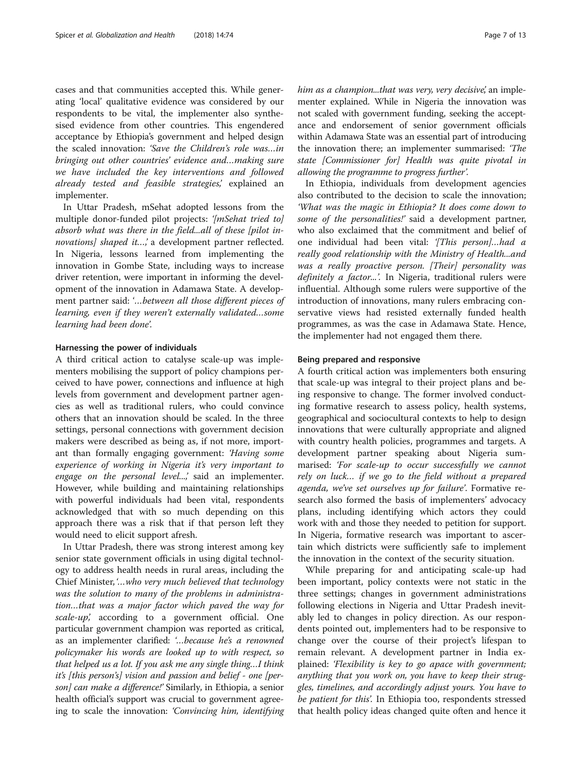cases and that communities accepted this. While generating 'local' qualitative evidence was considered by our respondents to be vital, the implementer also synthesised evidence from other countries. This engendered acceptance by Ethiopia's government and helped design the scaled innovation: 'Save the Children's role was…in bringing out other countries' evidence and…making sure we have included the key interventions and followed already tested and feasible strategies,' explained an implementer.

In Uttar Pradesh, mSehat adopted lessons from the multiple donor-funded pilot projects: '[mSehat tried to] absorb what was there in the field...all of these [pilot innovations] shaped it...,' a development partner reflected. In Nigeria, lessons learned from implementing the innovation in Gombe State, including ways to increase driver retention, were important in informing the development of the innovation in Adamawa State. A development partner said: '…between all those different pieces of learning, even if they weren't externally validated…some learning had been done'.

# Harnessing the power of individuals

A third critical action to catalyse scale-up was implementers mobilising the support of policy champions perceived to have power, connections and influence at high levels from government and development partner agencies as well as traditional rulers, who could convince others that an innovation should be scaled. In the three settings, personal connections with government decision makers were described as being as, if not more, important than formally engaging government: 'Having some experience of working in Nigeria it's very important to engage on the personal level...,' said an implementer. However, while building and maintaining relationships with powerful individuals had been vital, respondents acknowledged that with so much depending on this approach there was a risk that if that person left they would need to elicit support afresh.

In Uttar Pradesh, there was strong interest among key senior state government officials in using digital technology to address health needs in rural areas, including the Chief Minister, '…who very much believed that technology was the solution to many of the problems in administration…that was a major factor which paved the way for scale-up', according to a government official. One particular government champion was reported as critical, as an implementer clarified: '…because he's a renowned policymaker his words are looked up to with respect, so that helped us a lot. If you ask me any single thing…I think it's [this person's] vision and passion and belief - one [person] can make a difference!' Similarly, in Ethiopia, a senior health official's support was crucial to government agreeing to scale the innovation: 'Convincing him, identifying him as a champion...that was very, very decisive', an implementer explained. While in Nigeria the innovation was not scaled with government funding, seeking the acceptance and endorsement of senior government officials within Adamawa State was an essential part of introducing the innovation there; an implementer summarised: 'The state [Commissioner for] Health was quite pivotal in allowing the programme to progress further'.

In Ethiopia, individuals from development agencies also contributed to the decision to scale the innovation; 'What was the magic in Ethiopia? It does come down to some of the personalities!' said a development partner, who also exclaimed that the commitment and belief of one individual had been vital: '[This person]…had a really good relationship with the Ministry of Health...and was a really proactive person. [Their] personality was definitely a factor...'. In Nigeria, traditional rulers were influential. Although some rulers were supportive of the introduction of innovations, many rulers embracing conservative views had resisted externally funded health programmes, as was the case in Adamawa State. Hence, the implementer had not engaged them there.

#### Being prepared and responsive

A fourth critical action was implementers both ensuring that scale-up was integral to their project plans and being responsive to change. The former involved conducting formative research to assess policy, health systems, geographical and sociocultural contexts to help to design innovations that were culturally appropriate and aligned with country health policies, programmes and targets. A development partner speaking about Nigeria summarised: 'For scale-up to occur successfully we cannot rely on luck… if we go to the field without a prepared agenda, we've set ourselves up for failure'. Formative research also formed the basis of implementers' advocacy plans, including identifying which actors they could work with and those they needed to petition for support. In Nigeria, formative research was important to ascertain which districts were sufficiently safe to implement the innovation in the context of the security situation.

While preparing for and anticipating scale-up had been important, policy contexts were not static in the three settings; changes in government administrations following elections in Nigeria and Uttar Pradesh inevitably led to changes in policy direction. As our respondents pointed out, implementers had to be responsive to change over the course of their project's lifespan to remain relevant. A development partner in India explained: 'Flexibility is key to go apace with government; anything that you work on, you have to keep their struggles, timelines, and accordingly adjust yours. You have to be patient for this'. In Ethiopia too, respondents stressed that health policy ideas changed quite often and hence it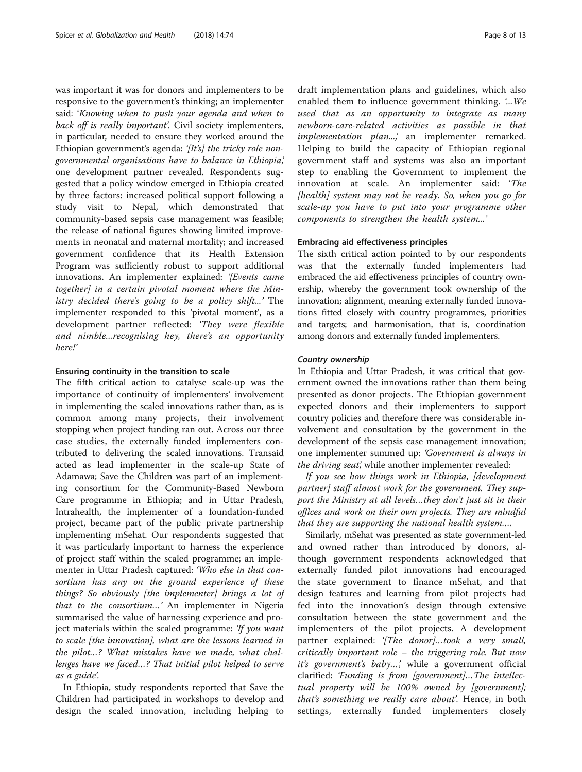was important it was for donors and implementers to be responsive to the government's thinking; an implementer said: 'Knowing when to push your agenda and when to back off is really important'. Civil society implementers, in particular, needed to ensure they worked around the Ethiopian government's agenda: '[It's] the tricky role nongovernmental organisations have to balance in Ethiopia,' one development partner revealed. Respondents suggested that a policy window emerged in Ethiopia created by three factors: increased political support following a study visit to Nepal, which demonstrated that community-based sepsis case management was feasible; the release of national figures showing limited improvements in neonatal and maternal mortality; and increased government confidence that its Health Extension Program was sufficiently robust to support additional innovations. An implementer explained: '[Events came together] in a certain pivotal moment where the Ministry decided there's going to be a policy shift...' The implementer responded to this 'pivotal moment', as a development partner reflected: 'They were flexible and nimble...recognising hey, there's an opportunity here!'

# Ensuring continuity in the transition to scale

The fifth critical action to catalyse scale-up was the importance of continuity of implementers' involvement in implementing the scaled innovations rather than, as is common among many projects, their involvement stopping when project funding ran out. Across our three case studies, the externally funded implementers contributed to delivering the scaled innovations. Transaid acted as lead implementer in the scale-up State of Adamawa; Save the Children was part of an implementing consortium for the Community-Based Newborn Care programme in Ethiopia; and in Uttar Pradesh, Intrahealth, the implementer of a foundation-funded project, became part of the public private partnership implementing mSehat. Our respondents suggested that it was particularly important to harness the experience of project staff within the scaled programme; an implementer in Uttar Pradesh captured: 'Who else in that consortium has any on the ground experience of these things? So obviously [the implementer] brings a lot of that to the consortium…' An implementer in Nigeria summarised the value of harnessing experience and project materials within the scaled programme: 'If you want to scale [the innovation], what are the lessons learned in the pilot…? What mistakes have we made, what challenges have we faced…? That initial pilot helped to serve as a guide'.

In Ethiopia, study respondents reported that Save the Children had participated in workshops to develop and design the scaled innovation, including helping to draft implementation plans and guidelines, which also enabled them to influence government thinking.  $\therefore$  We used that as an opportunity to integrate as many newborn-care-related activities as possible in that implementation plan...; an implementer remarked. Helping to build the capacity of Ethiopian regional government staff and systems was also an important step to enabling the Government to implement the innovation at scale. An implementer said: 'The [health] system may not be ready. So, when you go for scale-up you have to put into your programme other components to strengthen the health system...'

# Embracing aid effectiveness principles

The sixth critical action pointed to by our respondents was that the externally funded implementers had embraced the aid effectiveness principles of country ownership, whereby the government took ownership of the innovation; alignment, meaning externally funded innovations fitted closely with country programmes, priorities and targets; and harmonisation, that is, coordination among donors and externally funded implementers.

### Country ownership

In Ethiopia and Uttar Pradesh, it was critical that government owned the innovations rather than them being presented as donor projects. The Ethiopian government expected donors and their implementers to support country policies and therefore there was considerable involvement and consultation by the government in the development of the sepsis case management innovation; one implementer summed up: 'Government is always in the driving seat', while another implementer revealed:

If you see how things work in Ethiopia, [development partner] staff almost work for the government. They support the Ministry at all levels…they don't just sit in their offices and work on their own projects. They are mindful that they are supporting the national health system….

Similarly, mSehat was presented as state government-led and owned rather than introduced by donors, although government respondents acknowledged that externally funded pilot innovations had encouraged the state government to finance mSehat, and that design features and learning from pilot projects had fed into the innovation's design through extensive consultation between the state government and the implementers of the pilot projects. A development partner explained: '[The donor]...took a very small, critically important role – the triggering role. But now it's government's baby…', while a government official clarified: 'Funding is from [government]…The intellectual property will be 100% owned by [government]; that's something we really care about'. Hence, in both settings, externally funded implementers closely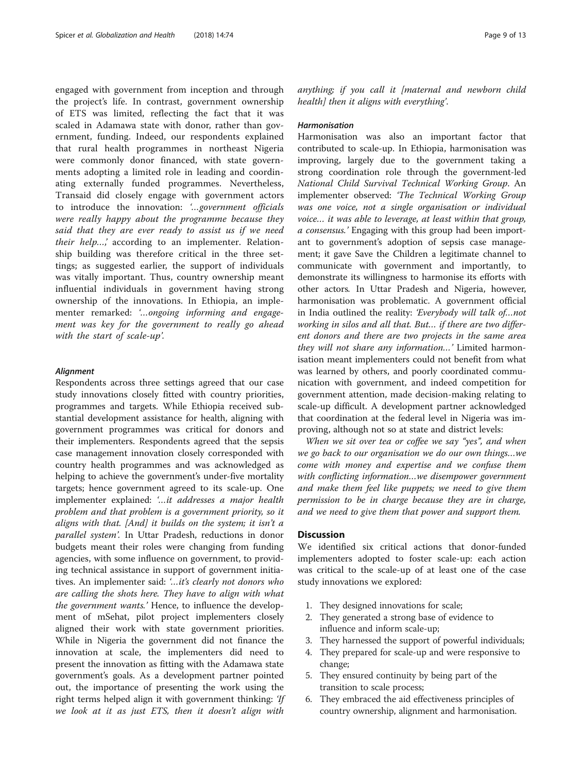engaged with government from inception and through the project's life. In contrast, government ownership of ETS was limited, reflecting the fact that it was scaled in Adamawa state with donor, rather than government, funding. Indeed, our respondents explained that rural health programmes in northeast Nigeria were commonly donor financed, with state governments adopting a limited role in leading and coordinating externally funded programmes. Nevertheless, Transaid did closely engage with government actors to introduce the innovation: '…government officials were really happy about the programme because they said that they are ever ready to assist us if we need their help...,' according to an implementer. Relationship building was therefore critical in the three settings; as suggested earlier, the support of individuals was vitally important. Thus, country ownership meant influential individuals in government having strong ownership of the innovations. In Ethiopia, an implementer remarked: '…ongoing informing and engagement was key for the government to really go ahead with the start of scale-up'.

# Alignment

Respondents across three settings agreed that our case study innovations closely fitted with country priorities, programmes and targets. While Ethiopia received substantial development assistance for health, aligning with government programmes was critical for donors and their implementers. Respondents agreed that the sepsis case management innovation closely corresponded with country health programmes and was acknowledged as helping to achieve the government's under-five mortality targets; hence government agreed to its scale-up. One implementer explained: '…it addresses a major health problem and that problem is a government priority, so it aligns with that. [And] it builds on the system; it isn't a parallel system'. In Uttar Pradesh, reductions in donor budgets meant their roles were changing from funding agencies, with some influence on government, to providing technical assistance in support of government initiatives. An implementer said: '…it's clearly not donors who are calling the shots here. They have to align with what the government wants.' Hence, to influence the development of mSehat, pilot project implementers closely aligned their work with state government priorities. While in Nigeria the government did not finance the innovation at scale, the implementers did need to present the innovation as fitting with the Adamawa state government's goals. As a development partner pointed out, the importance of presenting the work using the right terms helped align it with government thinking: 'If we look at it as just ETS, then it doesn't align with anything; if you call it [maternal and newborn child health] then it aligns with everything'.

### Harmonisation

Harmonisation was also an important factor that contributed to scale-up. In Ethiopia, harmonisation was improving, largely due to the government taking a strong coordination role through the government-led National Child Survival Technical Working Group. An implementer observed: 'The Technical Working Group was one voice, not a single organisation or individual voice… it was able to leverage, at least within that group, a consensus.' Engaging with this group had been important to government's adoption of sepsis case management; it gave Save the Children a legitimate channel to communicate with government and importantly, to demonstrate its willingness to harmonise its efforts with other actors. In Uttar Pradesh and Nigeria, however, harmonisation was problematic. A government official in India outlined the reality: 'Everybody will talk of...not working in silos and all that. But… if there are two different donors and there are two projects in the same area they will not share any information…' Limited harmonisation meant implementers could not benefit from what was learned by others, and poorly coordinated communication with government, and indeed competition for government attention, made decision-making relating to scale-up difficult. A development partner acknowledged that coordination at the federal level in Nigeria was improving, although not so at state and district levels:

When we sit over tea or coffee we say "yes", and when we go back to our organisation we do our own things…we come with money and expertise and we confuse them with conflicting information…we disempower government and make them feel like puppets; we need to give them permission to be in charge because they are in charge, and we need to give them that power and support them.

# **Discussion**

We identified six critical actions that donor-funded implementers adopted to foster scale-up: each action was critical to the scale-up of at least one of the case study innovations we explored:

- 1. They designed innovations for scale;
- 2. They generated a strong base of evidence to influence and inform scale-up;
- 3. They harnessed the support of powerful individuals;
- 4. They prepared for scale-up and were responsive to change;
- 5. They ensured continuity by being part of the transition to scale process;
- 6. They embraced the aid effectiveness principles of country ownership, alignment and harmonisation.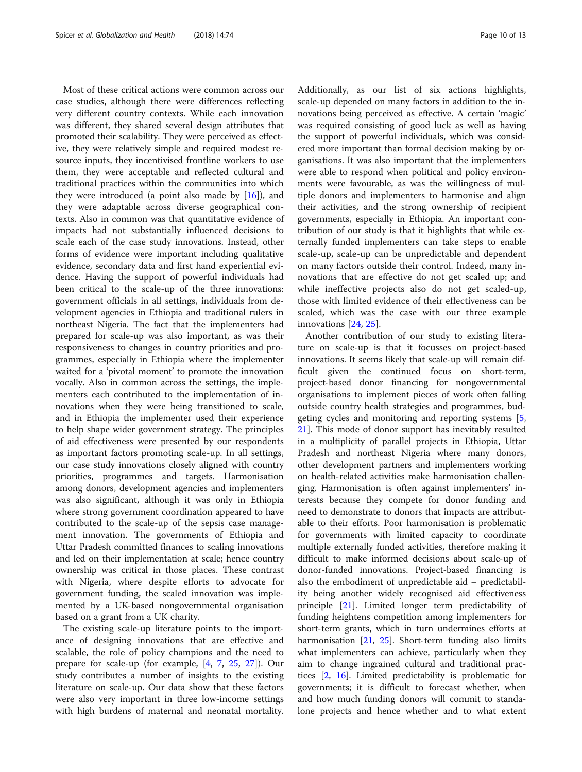Most of these critical actions were common across our case studies, although there were differences reflecting very different country contexts. While each innovation was different, they shared several design attributes that promoted their scalability. They were perceived as effective, they were relatively simple and required modest resource inputs, they incentivised frontline workers to use them, they were acceptable and reflected cultural and traditional practices within the communities into which they were introduced (a point also made by  $[16]$  $[16]$ ), and they were adaptable across diverse geographical contexts. Also in common was that quantitative evidence of impacts had not substantially influenced decisions to scale each of the case study innovations. Instead, other forms of evidence were important including qualitative evidence, secondary data and first hand experiential evidence. Having the support of powerful individuals had been critical to the scale-up of the three innovations: government officials in all settings, individuals from development agencies in Ethiopia and traditional rulers in northeast Nigeria. The fact that the implementers had prepared for scale-up was also important, as was their responsiveness to changes in country priorities and programmes, especially in Ethiopia where the implementer waited for a 'pivotal moment' to promote the innovation vocally. Also in common across the settings, the implementers each contributed to the implementation of innovations when they were being transitioned to scale, and in Ethiopia the implementer used their experience to help shape wider government strategy. The principles of aid effectiveness were presented by our respondents as important factors promoting scale-up. In all settings, our case study innovations closely aligned with country priorities, programmes and targets. Harmonisation among donors, development agencies and implementers was also significant, although it was only in Ethiopia where strong government coordination appeared to have contributed to the scale-up of the sepsis case management innovation. The governments of Ethiopia and Uttar Pradesh committed finances to scaling innovations and led on their implementation at scale; hence country ownership was critical in those places. These contrast with Nigeria, where despite efforts to advocate for government funding, the scaled innovation was implemented by a UK-based nongovernmental organisation based on a grant from a UK charity.

The existing scale-up literature points to the importance of designing innovations that are effective and scalable, the role of policy champions and the need to prepare for scale-up (for example, [[4,](#page-11-0) [7](#page-11-0), [25](#page-12-0), [27\]](#page-12-0)). Our study contributes a number of insights to the existing literature on scale-up. Our data show that these factors were also very important in three low-income settings with high burdens of maternal and neonatal mortality. Additionally, as our list of six actions highlights, scale-up depended on many factors in addition to the innovations being perceived as effective. A certain 'magic' was required consisting of good luck as well as having the support of powerful individuals, which was considered more important than formal decision making by organisations. It was also important that the implementers were able to respond when political and policy environments were favourable, as was the willingness of multiple donors and implementers to harmonise and align their activities, and the strong ownership of recipient governments, especially in Ethiopia. An important contribution of our study is that it highlights that while externally funded implementers can take steps to enable scale-up, scale-up can be unpredictable and dependent on many factors outside their control. Indeed, many innovations that are effective do not get scaled up; and while ineffective projects also do not get scaled-up, those with limited evidence of their effectiveness can be scaled, which was the case with our three example innovations [\[24](#page-12-0), [25\]](#page-12-0).

Another contribution of our study to existing literature on scale-up is that it focusses on project-based innovations. It seems likely that scale-up will remain difficult given the continued focus on short-term, project-based donor financing for nongovernmental organisations to implement pieces of work often falling outside country health strategies and programmes, budgeting cycles and monitoring and reporting systems [[5](#page-11-0), [21\]](#page-12-0). This mode of donor support has inevitably resulted in a multiplicity of parallel projects in Ethiopia, Uttar Pradesh and northeast Nigeria where many donors, other development partners and implementers working on health-related activities make harmonisation challenging. Harmonisation is often against implementers' interests because they compete for donor funding and need to demonstrate to donors that impacts are attributable to their efforts. Poor harmonisation is problematic for governments with limited capacity to coordinate multiple externally funded activities, therefore making it difficult to make informed decisions about scale-up of donor-funded innovations. Project-based financing is also the embodiment of unpredictable aid – predictability being another widely recognised aid effectiveness principle [[21\]](#page-12-0). Limited longer term predictability of funding heightens competition among implementers for short-term grants, which in turn undermines efforts at harmonisation [[21,](#page-12-0) [25](#page-12-0)]. Short-term funding also limits what implementers can achieve, particularly when they aim to change ingrained cultural and traditional practices [[2,](#page-11-0) [16](#page-12-0)]. Limited predictability is problematic for governments; it is difficult to forecast whether, when and how much funding donors will commit to standalone projects and hence whether and to what extent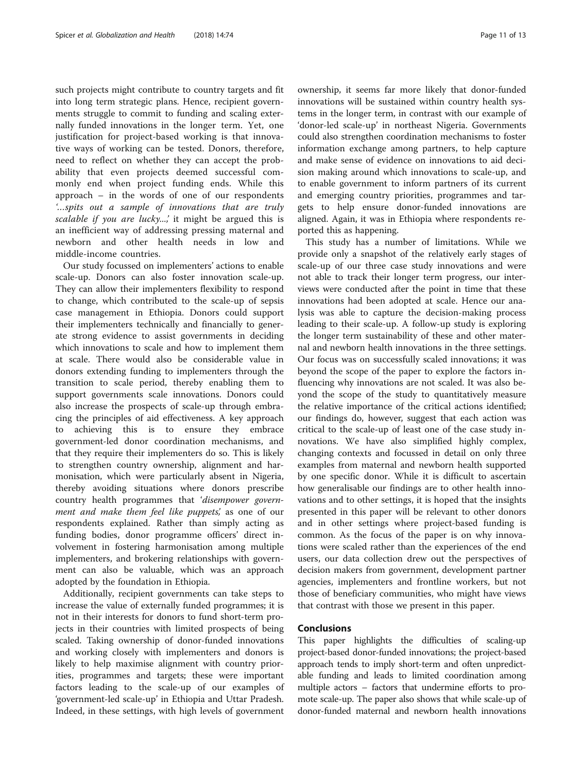such projects might contribute to country targets and fit into long term strategic plans. Hence, recipient governments struggle to commit to funding and scaling externally funded innovations in the longer term. Yet, one justification for project-based working is that innovative ways of working can be tested. Donors, therefore, need to reflect on whether they can accept the probability that even projects deemed successful commonly end when project funding ends. While this approach – in the words of one of our respondents '…spits out a sample of innovations that are truly scalable if you are lucky...,' it might be argued this is an inefficient way of addressing pressing maternal and newborn and other health needs in low and middle-income countries.

Our study focussed on implementers' actions to enable scale-up. Donors can also foster innovation scale-up. They can allow their implementers flexibility to respond to change, which contributed to the scale-up of sepsis case management in Ethiopia. Donors could support their implementers technically and financially to generate strong evidence to assist governments in deciding which innovations to scale and how to implement them at scale. There would also be considerable value in donors extending funding to implementers through the transition to scale period, thereby enabling them to support governments scale innovations. Donors could also increase the prospects of scale-up through embracing the principles of aid effectiveness. A key approach achieving this is to ensure they embrace government-led donor coordination mechanisms, and that they require their implementers do so. This is likely to strengthen country ownership, alignment and harmonisation, which were particularly absent in Nigeria, thereby avoiding situations where donors prescribe country health programmes that 'disempower government and make them feel like puppets,' as one of our respondents explained. Rather than simply acting as funding bodies, donor programme officers' direct involvement in fostering harmonisation among multiple implementers, and brokering relationships with government can also be valuable, which was an approach adopted by the foundation in Ethiopia.

Additionally, recipient governments can take steps to increase the value of externally funded programmes; it is not in their interests for donors to fund short-term projects in their countries with limited prospects of being scaled. Taking ownership of donor-funded innovations and working closely with implementers and donors is likely to help maximise alignment with country priorities, programmes and targets; these were important factors leading to the scale-up of our examples of 'government-led scale-up' in Ethiopia and Uttar Pradesh. Indeed, in these settings, with high levels of government ownership, it seems far more likely that donor-funded innovations will be sustained within country health systems in the longer term, in contrast with our example of 'donor-led scale-up' in northeast Nigeria. Governments could also strengthen coordination mechanisms to foster information exchange among partners, to help capture and make sense of evidence on innovations to aid decision making around which innovations to scale-up, and to enable government to inform partners of its current and emerging country priorities, programmes and targets to help ensure donor-funded innovations are aligned. Again, it was in Ethiopia where respondents reported this as happening.

This study has a number of limitations. While we provide only a snapshot of the relatively early stages of scale-up of our three case study innovations and were not able to track their longer term progress, our interviews were conducted after the point in time that these innovations had been adopted at scale. Hence our analysis was able to capture the decision-making process leading to their scale-up. A follow-up study is exploring the longer term sustainability of these and other maternal and newborn health innovations in the three settings. Our focus was on successfully scaled innovations; it was beyond the scope of the paper to explore the factors influencing why innovations are not scaled. It was also beyond the scope of the study to quantitatively measure the relative importance of the critical actions identified; our findings do, however, suggest that each action was critical to the scale-up of least one of the case study innovations. We have also simplified highly complex, changing contexts and focussed in detail on only three examples from maternal and newborn health supported by one specific donor. While it is difficult to ascertain how generalisable our findings are to other health innovations and to other settings, it is hoped that the insights presented in this paper will be relevant to other donors and in other settings where project-based funding is common. As the focus of the paper is on why innovations were scaled rather than the experiences of the end users, our data collection drew out the perspectives of decision makers from government, development partner agencies, implementers and frontline workers, but not those of beneficiary communities, who might have views that contrast with those we present in this paper.

# Conclusions

This paper highlights the difficulties of scaling-up project-based donor-funded innovations; the project-based approach tends to imply short-term and often unpredictable funding and leads to limited coordination among multiple actors – factors that undermine efforts to promote scale-up. The paper also shows that while scale-up of donor-funded maternal and newborn health innovations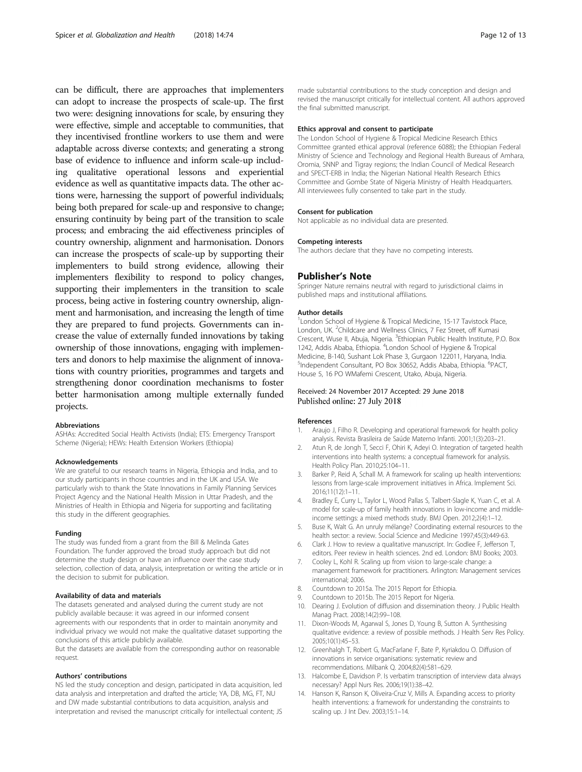<span id="page-11-0"></span>can be difficult, there are approaches that implementers can adopt to increase the prospects of scale-up. The first two were: designing innovations for scale, by ensuring they were effective, simple and acceptable to communities, that they incentivised frontline workers to use them and were adaptable across diverse contexts; and generating a strong base of evidence to influence and inform scale-up including qualitative operational lessons and experiential evidence as well as quantitative impacts data. The other actions were, harnessing the support of powerful individuals; being both prepared for scale-up and responsive to change; ensuring continuity by being part of the transition to scale process; and embracing the aid effectiveness principles of country ownership, alignment and harmonisation. Donors can increase the prospects of scale-up by supporting their implementers to build strong evidence, allowing their implementers flexibility to respond to policy changes, supporting their implementers in the transition to scale process, being active in fostering country ownership, alignment and harmonisation, and increasing the length of time they are prepared to fund projects. Governments can increase the value of externally funded innovations by taking ownership of those innovations, engaging with implementers and donors to help maximise the alignment of innovations with country priorities, programmes and targets and strengthening donor coordination mechanisms to foster better harmonisation among multiple externally funded projects.

### Abbreviations

ASHAs: Accredited Social Health Activists (India); ETS: Emergency Transport Scheme (Nigeria); HEWs: Health Extension Workers (Ethiopia)

#### Acknowledgements

We are grateful to our research teams in Nigeria, Ethiopia and India, and to our study participants in those countries and in the UK and USA. We particularly wish to thank the State Innovations in Family Planning Services Project Agency and the National Health Mission in Uttar Pradesh, and the Ministries of Health in Ethiopia and Nigeria for supporting and facilitating this study in the different geographies.

#### Funding

The study was funded from a grant from the Bill & Melinda Gates Foundation. The funder approved the broad study approach but did not determine the study design or have an influence over the case study selection, collection of data, analysis, interpretation or writing the article or in the decision to submit for publication.

#### Availability of data and materials

The datasets generated and analysed during the current study are not publicly available because: it was agreed in our informed consent agreements with our respondents that in order to maintain anonymity and individual privacy we would not make the qualitative dataset supporting the conclusions of this article publicly available.

But the datasets are available from the corresponding author on reasonable request.

#### Authors' contributions

NS led the study conception and design, participated in data acquisition, led data analysis and interpretation and drafted the article; YA, DB, MG, FT, NU and DW made substantial contributions to data acquisition, analysis and interpretation and revised the manuscript critically for intellectual content; JS made substantial contributions to the study conception and design and revised the manuscript critically for intellectual content. All authors approved the final submitted manuscript.

#### Ethics approval and consent to participate

The London School of Hygiene & Tropical Medicine Research Ethics Committee granted ethical approval (reference 6088); the Ethiopian Federal Ministry of Science and Technology and Regional Health Bureaus of Amhara, Oromia, SNNP and Tigray regions; the Indian Council of Medical Research and SPECT-ERB in India; the Nigerian National Health Research Ethics Committee and Gombe State of Nigeria Ministry of Health Headquarters. All interviewees fully consented to take part in the study.

#### Consent for publication

Not applicable as no individual data are presented.

#### Competing interests

The authors declare that they have no competing interests.

#### Publisher's Note

Springer Nature remains neutral with regard to jurisdictional claims in published maps and institutional affiliations.

#### Author details

<sup>1</sup> London School of Hygiene & Tropical Medicine, 15-17 Tavistock Place, London, UK. <sup>2</sup>Childcare and Wellness Clinics, 7 Fez Street, off Kumasi Crescent, Wuse II, Abuja, Nigeria. <sup>3</sup>Ethiopian Public Health Institute, P.O. Box 1242, Addis Ababa, Ethiopia. <sup>4</sup> London School of Hygiene & Tropical Medicine, B-140, Sushant Lok Phase 3, Gurgaon 122011, Haryana, India. <sup>5</sup>Independent Consultant, PO Box 30652, Addis Ababa, Ethiopia. <sup>6</sup>PACT, House 5, 16 PO WMafemi Crescent, Utako, Abuja, Nigeria.

### Received: 24 November 2017 Accepted: 29 June 2018 Published online: 27 July 2018

#### References

- Araujo J, Filho R. Developing and operational framework for health policy analysis. Revista Brasileira de Saúde Materno Infanti. 2001;1(3):203–21.
- Atun R, de Jongh T, Secci F, Ohiri K, Adeyi O. Integration of targeted health interventions into health systems: a conceptual framework for analysis. Health Policy Plan. 2010;25:104–11.
- 3. Barker P, Reid A, Schall M. A framework for scaling up health interventions: lessons from large-scale improvement initiatives in Africa. Implement Sci. 2016;11(12):1–11.
- 4. Bradley E, Curry L, Taylor L, Wood Pallas S, Talbert-Slagle K, Yuan C, et al. A model for scale-up of family health innovations in low-income and middleincome settings: a mixed methods study. BMJ Open. 2012;2(4):1–12.
- 5. Buse K, Walt G. An unruly mélange? Coordinating external resources to the health sector: a review. Social Science and Medicine 1997;45(3):449-63.
- 6. Clark J. How to review a qualitative manuscript. In: Godlee F, Jefferson T, editors. Peer review in health sciences. 2nd ed. London: BMJ Books; 2003.
- 7. Cooley L, Kohl R. Scaling up from vision to large-scale change: a management framework for practitioners. Arlington: Management services international; 2006.
- 8. Countdown to 2015a. The 2015 Report for Ethiopia.
- Countdown to 2015b. The 2015 Report for Nigeria.
- 10. Dearing J. Evolution of diffusion and dissemination theory. J Public Health Manag Pract. 2008;14(2):99–108.
- 11. Dixon-Woods M, Agarwal S, Jones D, Young B, Sutton A. Synthesising qualitative evidence: a review of possible methods. J Health Serv Res Policy. 2005;10(1):45–53.
- 12. Greenhalgh T, Robert G, MacFarlane F, Bate P, Kyriakdou O. Diffusion of innovations in service organisations: systematic review and recommendations. Milbank Q. 2004;82(4):581–629.
- 13. Halcombe E, Davidson P. Is verbatim transcription of interview data always necessary? Appl Nurs Res. 2006;19(1):38–42.
- 14. Hanson K, Ranson K, Oliveira-Cruz V, Mills A. Expanding access to priority health interventions: a framework for understanding the constraints to scaling up. J Int Dev. 2003;15:1–14.